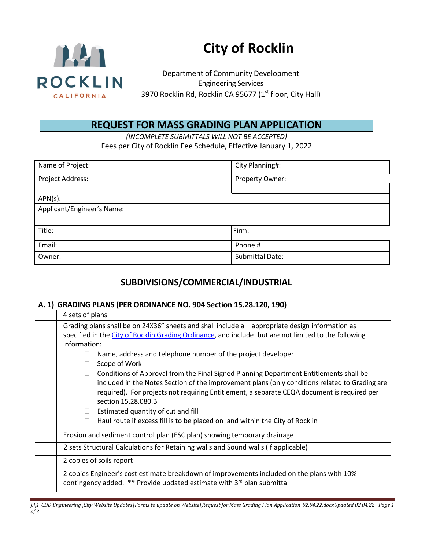

# **City of Rocklin**

Department of Community Development Engineering Services 3970 Rocklin Rd, Rocklin CA 95677 (1<sup>st</sup> floor, City Hall)

# **REQUEST FOR MASS GRADING PLAN APPLICATION**

*(INCOMPLETE SUBMITTALS WILL NOT BE ACCEPTED)* Fees per City of Rocklin Fee Schedule, Effective January 1, 2022

| Name of Project:           | City Planning#:        |  |
|----------------------------|------------------------|--|
| Project Address:           | Property Owner:        |  |
| $APN(s)$ :                 |                        |  |
| Applicant/Engineer's Name: |                        |  |
|                            |                        |  |
| Title:                     | Firm:                  |  |
| Email:                     | Phone #                |  |
| Owner:                     | <b>Submittal Date:</b> |  |

## **SUBDIVISIONS/COMMERCIAL/INDUSTRIAL**

#### **A. 1) GRADING PLANS (PER ORDINANCE NO. 904 Section 15.28.120, 190)**

| 4 sets of plans                                                                                                                                                                                                                                                                                                                                      |
|------------------------------------------------------------------------------------------------------------------------------------------------------------------------------------------------------------------------------------------------------------------------------------------------------------------------------------------------------|
| Grading plans shall be on 24X36" sheets and shall include all appropriate design information as                                                                                                                                                                                                                                                      |
| specified in the City of Rocklin Grading Ordinance, and include but are not limited to the following                                                                                                                                                                                                                                                 |
| information:                                                                                                                                                                                                                                                                                                                                         |
| Name, address and telephone number of the project developer                                                                                                                                                                                                                                                                                          |
| Scope of Work                                                                                                                                                                                                                                                                                                                                        |
| Conditions of Approval from the Final Signed Planning Department Entitlements shall be<br>included in the Notes Section of the improvement plans (only conditions related to Grading are<br>required). For projects not requiring Entitlement, a separate CEQA document is required per<br>section 15.28.080.B<br>Estimated quantity of cut and fill |
| Haul route if excess fill is to be placed on land within the City of Rocklin                                                                                                                                                                                                                                                                         |
| Erosion and sediment control plan (ESC plan) showing temporary drainage                                                                                                                                                                                                                                                                              |
| 2 sets Structural Calculations for Retaining walls and Sound walls (if applicable)                                                                                                                                                                                                                                                                   |
| 2 copies of soils report                                                                                                                                                                                                                                                                                                                             |
| 2 copies Engineer's cost estimate breakdown of improvements included on the plans with 10%<br>contingency added. ** Provide updated estimate with 3rd plan submittal                                                                                                                                                                                 |